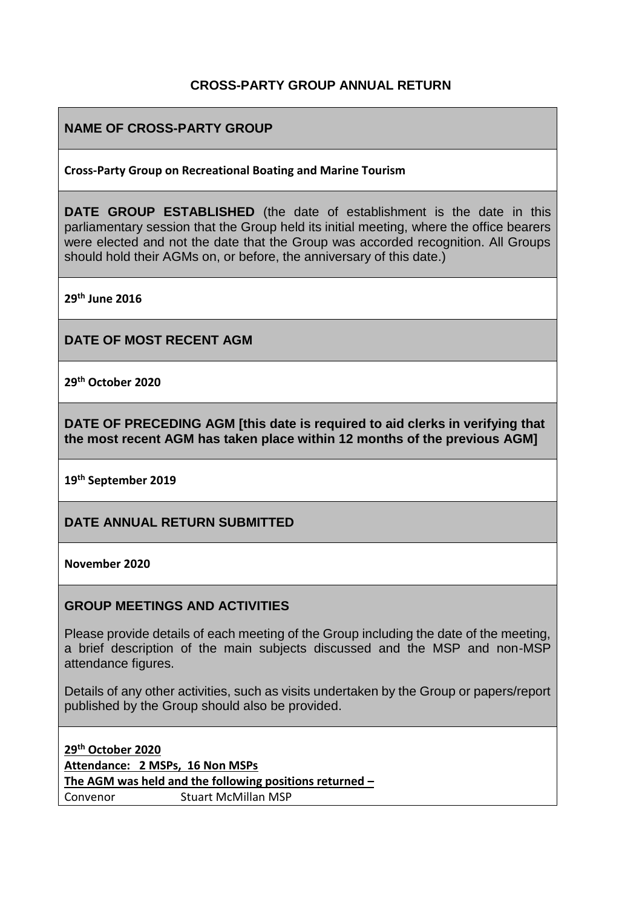## **CROSS-PARTY GROUP ANNUAL RETURN**

## **NAME OF CROSS-PARTY GROUP**

#### **Cross-Party Group on Recreational Boating and Marine Tourism**

**DATE GROUP ESTABLISHED** (the date of establishment is the date in this parliamentary session that the Group held its initial meeting, where the office bearers were elected and not the date that the Group was accorded recognition. All Groups should hold their AGMs on, or before, the anniversary of this date.)

**29th June 2016**

**DATE OF MOST RECENT AGM**

**29th October 2020**

**DATE OF PRECEDING AGM [this date is required to aid clerks in verifying that the most recent AGM has taken place within 12 months of the previous AGM]**

**19th September 2019**

**DATE ANNUAL RETURN SUBMITTED**

**November 2020**

#### **GROUP MEETINGS AND ACTIVITIES**

Please provide details of each meeting of the Group including the date of the meeting, a brief description of the main subjects discussed and the MSP and non-MSP attendance figures.

Details of any other activities, such as visits undertaken by the Group or papers/report published by the Group should also be provided.

**29th October 2020 Attendance: 2 MSPs, 16 Non MSPs The AGM was held and the following positions returned –** Convenor Stuart McMillan MSP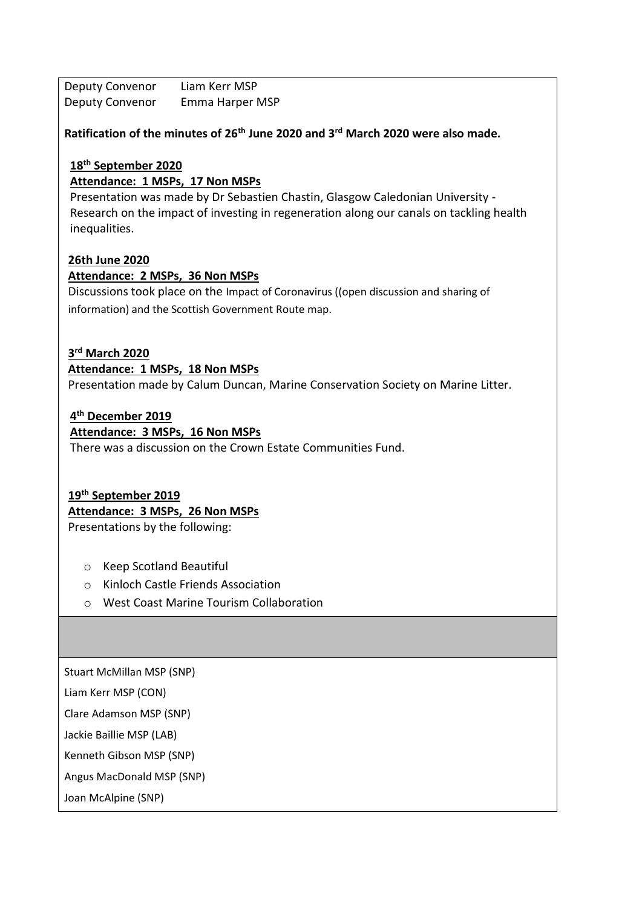Deputy Convenor Liam Kerr MSP Deputy Convenor Emma Harper MSP

**Ratification of the minutes of 26th June 2020 and 3rd March 2020 were also made.**

## **18th September 2020**

**Attendance: 1 MSPs, 17 Non MSPs**

Presentation was made by Dr Sebastien Chastin, Glasgow Caledonian University - Research on the impact of investing in regeneration along our canals on tackling health inequalities.

## **26th June 2020**

### **Attendance: 2 MSPs, 36 Non MSPs**

Discussions took place on the Impact of Coronavirus ((open discussion and sharing of information) and the Scottish Government Route map.

## **3 rd March 2020**

## **Attendance: 1 MSPs, 18 Non MSPs**

Presentation made by Calum Duncan, Marine Conservation Society on Marine Litter.

### **4 th December 2019**

## **Attendance: 3 MSPs, 16 Non MSPs**

There was a discussion on the Crown Estate Communities Fund.

## **19th September 2019**

### **Attendance: 3 MSPs, 26 Non MSPs**

Presentations by the following:

- o Keep Scotland Beautiful
- o Kinloch Castle Friends Association
- o West Coast Marine Tourism Collaboration

Stuart McMillan MSP (SNP)

Liam Kerr MSP (CON)

Clare Adamson MSP (SNP)

Jackie Baillie MSP (LAB)

Kenneth Gibson MSP (SNP)

Angus MacDonald MSP (SNP)

Joan McAlpine (SNP)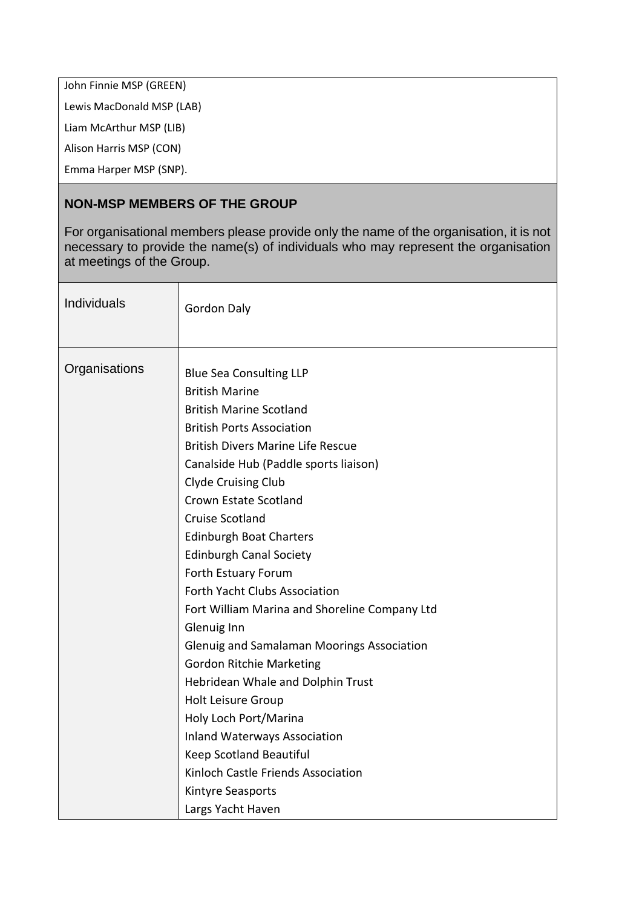John Finnie MSP (GREEN)

Lewis MacDonald MSP (LAB)

Liam McArthur MSP (LIB)

Alison Harris MSP (CON)

Emma Harper MSP (SNP).

## **NON-MSP MEMBERS OF THE GROUP**

For organisational members please provide only the name of the organisation, it is not necessary to provide the name(s) of individuals who may represent the organisation at meetings of the Group.

| Individuals   | <b>Gordon Daly</b>                                                                                                                                                                                                                                                                                                                                                                                                                                                                                                                                                                                                                                                                                                                                                                                |
|---------------|---------------------------------------------------------------------------------------------------------------------------------------------------------------------------------------------------------------------------------------------------------------------------------------------------------------------------------------------------------------------------------------------------------------------------------------------------------------------------------------------------------------------------------------------------------------------------------------------------------------------------------------------------------------------------------------------------------------------------------------------------------------------------------------------------|
| Organisations | <b>Blue Sea Consulting LLP</b><br><b>British Marine</b><br><b>British Marine Scotland</b><br><b>British Ports Association</b><br><b>British Divers Marine Life Rescue</b><br>Canalside Hub (Paddle sports liaison)<br><b>Clyde Cruising Club</b><br>Crown Estate Scotland<br><b>Cruise Scotland</b><br><b>Edinburgh Boat Charters</b><br><b>Edinburgh Canal Society</b><br>Forth Estuary Forum<br>Forth Yacht Clubs Association<br>Fort William Marina and Shoreline Company Ltd<br>Glenuig Inn<br>Glenuig and Samalaman Moorings Association<br><b>Gordon Ritchie Marketing</b><br>Hebridean Whale and Dolphin Trust<br>Holt Leisure Group<br>Holy Loch Port/Marina<br><b>Inland Waterways Association</b><br>Keep Scotland Beautiful<br>Kinloch Castle Friends Association<br>Kintyre Seasports |
|               | Largs Yacht Haven                                                                                                                                                                                                                                                                                                                                                                                                                                                                                                                                                                                                                                                                                                                                                                                 |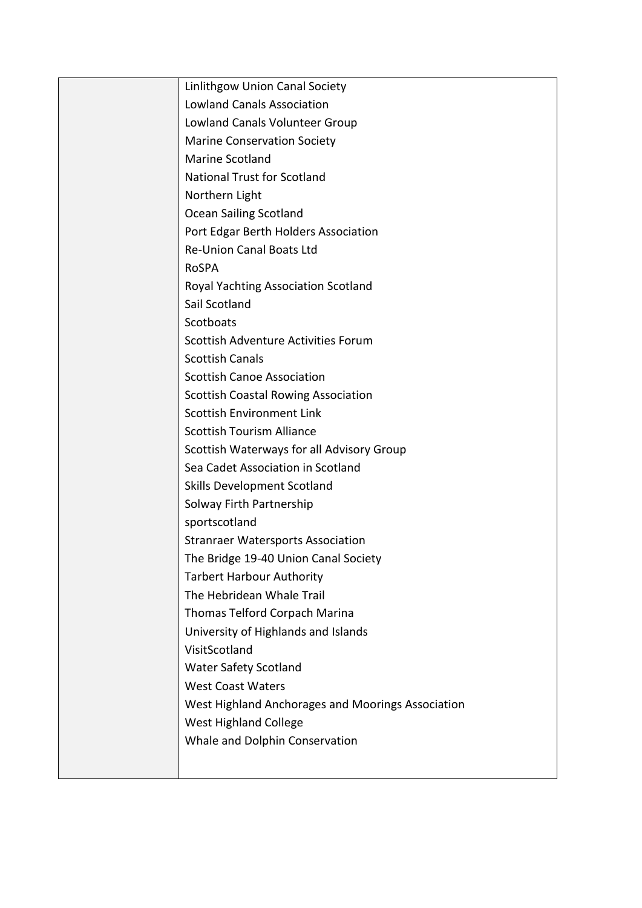| Linlithgow Union Canal Society                    |
|---------------------------------------------------|
| <b>Lowland Canals Association</b>                 |
| Lowland Canals Volunteer Group                    |
| <b>Marine Conservation Society</b>                |
| <b>Marine Scotland</b>                            |
| <b>National Trust for Scotland</b>                |
| Northern Light                                    |
| <b>Ocean Sailing Scotland</b>                     |
| Port Edgar Berth Holders Association              |
| <b>Re-Union Canal Boats Ltd</b>                   |
| <b>RoSPA</b>                                      |
| Royal Yachting Association Scotland               |
| Sail Scotland                                     |
| Scotboats                                         |
| Scottish Adventure Activities Forum               |
| <b>Scottish Canals</b>                            |
| <b>Scottish Canoe Association</b>                 |
| <b>Scottish Coastal Rowing Association</b>        |
| <b>Scottish Environment Link</b>                  |
| <b>Scottish Tourism Alliance</b>                  |
| Scottish Waterways for all Advisory Group         |
| Sea Cadet Association in Scotland                 |
| <b>Skills Development Scotland</b>                |
| Solway Firth Partnership                          |
| sportscotland                                     |
| <b>Stranraer Watersports Association</b>          |
| The Bridge 19-40 Union Canal Society              |
| <b>Tarbert Harbour Authority</b>                  |
| The Hebridean Whale Trail                         |
| Thomas Telford Corpach Marina                     |
| University of Highlands and Islands               |
| VisitScotland                                     |
| <b>Water Safety Scotland</b>                      |
| <b>West Coast Waters</b>                          |
| West Highland Anchorages and Moorings Association |
| <b>West Highland College</b>                      |
| Whale and Dolphin Conservation                    |
|                                                   |
|                                                   |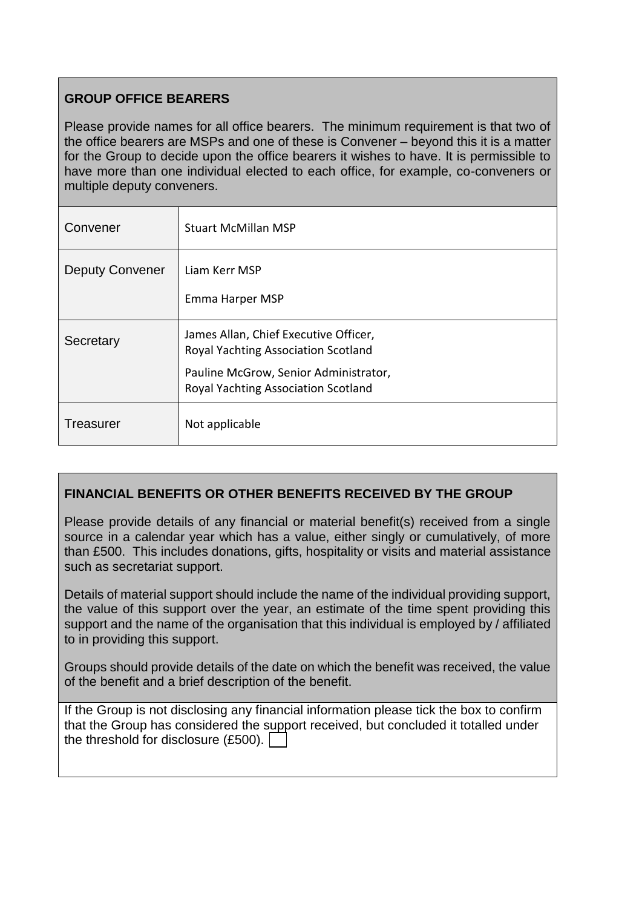# **GROUP OFFICE BEARERS**

Please provide names for all office bearers. The minimum requirement is that two of the office bearers are MSPs and one of these is Convener – beyond this it is a matter for the Group to decide upon the office bearers it wishes to have. It is permissible to have more than one individual elected to each office, for example, co-conveners or multiple deputy conveners.

| Convener               | <b>Stuart McMillan MSP</b>                                                   |
|------------------------|------------------------------------------------------------------------------|
| <b>Deputy Convener</b> | Liam Kerr MSP                                                                |
|                        | Emma Harper MSP                                                              |
| Secretary              | James Allan, Chief Executive Officer,<br>Royal Yachting Association Scotland |
|                        | Pauline McGrow, Senior Administrator,<br>Royal Yachting Association Scotland |
| Treasurer              | Not applicable                                                               |

# **FINANCIAL BENEFITS OR OTHER BENEFITS RECEIVED BY THE GROUP**

Please provide details of any financial or material benefit(s) received from a single source in a calendar year which has a value, either singly or cumulatively, of more than £500. This includes donations, gifts, hospitality or visits and material assistance such as secretariat support.

Details of material support should include the name of the individual providing support, the value of this support over the year, an estimate of the time spent providing this support and the name of the organisation that this individual is employed by / affiliated to in providing this support.

Groups should provide details of the date on which the benefit was received, the value of the benefit and a brief description of the benefit.

If the Group is not disclosing any financial information please tick the box to confirm that the Group has considered the support received, but concluded it totalled under the threshold for disclosure (£500).